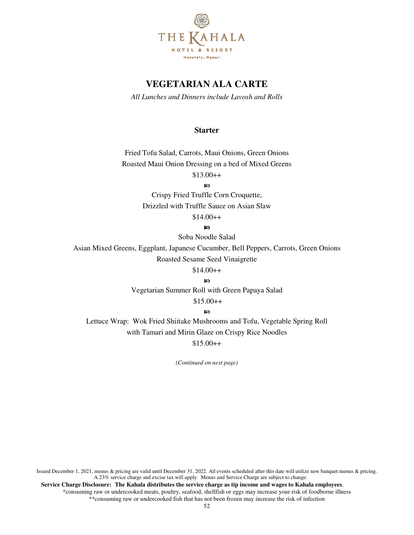

# **VEGETARIAN ALA CARTE**

*All Lunches and Dinners include Lavosh and Rolls* 

### **Starter**

Fried Tofu Salad, Carrots, Maui Onions, Green Onions Roasted Maui Onion Dressing on a bed of Mixed Greens  $$13.00++$ 

ၷ

Crispy Fried Truffle Corn Croquette, Drizzled with Truffle Sauce on Asian Slaw

 $$14.00++$ 

 $\infty$ 

Soba Noodle Salad

Asian Mixed Greens, Eggplant, Japanese Cucumber, Bell Peppers, Carrots, Green Onions Roasted Sesame Seed Vinaigrette

 $$14.00++$ 

ഩ

Vegetarian Summer Roll with Green Papaya Salad

\$15.00++

**so** 

Lettuce Wrap: Wok Fried Shiitake Mushrooms and Tofu, Vegetable Spring Roll with Tamari and Mirin Glaze on Crispy Rice Noodles

 $$15.00++$ 

*(Continued on next page)*

Issued December 1, 2021, menus & pricing are valid until December 31, 2022. All events scheduled after this date will utilize new banquet menus & pricing. A 23% service charge and excise tax will apply. Menus and Service Charge are subject to change.

 **Service Charge Disclosure: The Kahala distributes the service charge as tip income and wages to Kahala employees**. \*consuming raw or undercooked meats, poultry, seafood, shellfish or eggs may increase your risk of foodborne illness \*\*consuming raw or undercooked fish that has not been frozen may increase the risk of infection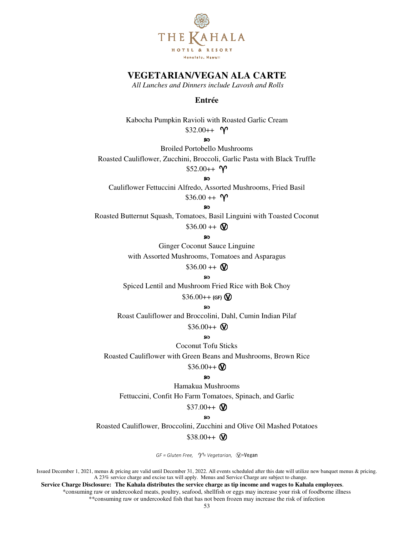

# **VEGETARIAN/VEGAN ALA CARTE**

*All Lunches and Dinners include Lavosh and Rolls* 

## **Entrée**

Kabocha Pumpkin Ravioli with Roasted Garlic Cream \$32.00++  $\gamma$ 

SO.

Broiled Portobello Mushrooms

Roasted Cauliflower, Zucchini, Broccoli, Garlic Pasta with Black Truffle

## $$52.00++$   $\gamma$

ഩ

Cauliflower Fettuccini Alfredo, Assorted Mushrooms, Fried Basil

 $$36.00 + + \gamma$ 

ີ**ຄ** 

Roasted Butternut Squash, Tomatoes, Basil Linguini with Toasted Coconut

 $$36.00 + + \circ$ 

ၷ

Ginger Coconut Sauce Linguine

with Assorted Mushrooms, Tomatoes and Asparagus

 $$36.00 + + \circ$ 

ဢ

Spiced Lentil and Mushroom Fried Rice with Bok Choy

 $$36.00++$  (GF)  $\circledR$ 

**so** 

Roast Cauliflower and Broccolini, Dahl, Cumin Indian Pilaf

 $$36.00++$   $\circ$ 

#### **80**

Coconut Tofu Sticks

Roasted Cauliflower with Green Beans and Mushrooms, Brown Rice

#### $$36.00++$   $\circ$

ၷ

Hamakua Mushrooms Fettuccini, Confit Ho Farm Tomatoes, Spinach, and Garlic

#### $$37.00++$   $\circ$

#### စာ

Roasted Cauliflower, Broccolini, Zucchini and Olive Oil Mashed Potatoes

 $$38.00++$   $\circ$ 

GF = Gluten Free,  $\gamma$ <sup>=</sup> Vegetarian,  $\mathbb{Q}$ =Vegan

Issued December 1, 2021, menus & pricing are valid until December 31, 2022. All events scheduled after this date will utilize new banquet menus & pricing. A 23% service charge and excise tax will apply. Menus and Service Charge are subject to change.

 **Service Charge Disclosure: The Kahala distributes the service charge as tip income and wages to Kahala employees**.

\*consuming raw or undercooked meats, poultry, seafood, shellfish or eggs may increase your risk of foodborne illness \*\*consuming raw or undercooked fish that has not been frozen may increase the risk of infection